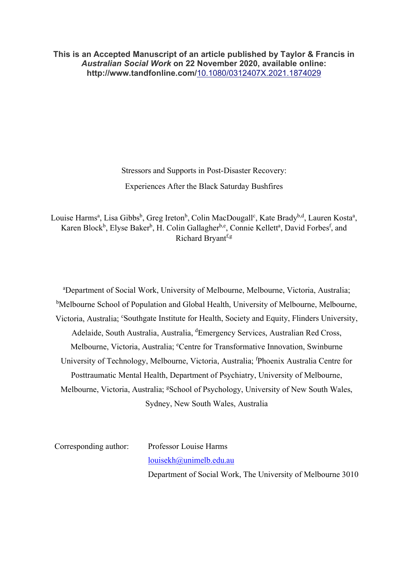**This is an Accepted Manuscript of an article published by Taylor & Francis in** *Australian Social Work* **on 22 November 2020, available online: http://www.tandfonline.com/**[10.1080/0312407X.2021.1874029](https://doi.org/10.1080/0312407X.2021.1874029)

> Stressors and Supports in Post-Disaster Recovery: Experiences After the Black Saturday Bushfires

Louise Harms<sup>a</sup>, Lisa Gibbs<sup>b</sup>, Greg Ireton<sup>b</sup>, Colin MacDougall<sup>c</sup>, Kate Brady<sup>b,d</sup>, Lauren Kosta<sup>a</sup>, Karen Block<sup>b</sup>, Elyse Baker<sup>b</sup>, H. Colin Gallagher<sup>b,e</sup>, Connie Kellett<sup>a</sup>, David Forbes<sup>f</sup>, and Richard Bryant<sup>f,g</sup>

a Department of Social Work, University of Melbourne, Melbourne, Victoria, Australia; <sup>b</sup>Melbourne School of Population and Global Health, University of Melbourne, Melbourne, Victoria, Australia; 'Southgate Institute for Health, Society and Equity, Flinders University, Adelaide, South Australia, Australia, <sup>d</sup>Emergency Services, Australian Red Cross, Melbourne, Victoria, Australia; <sup>e</sup>Centre for Transformative Innovation, Swinburne University of Technology, Melbourne, Victoria, Australia; <sup>f</sup> Phoenix Australia Centre for Posttraumatic Mental Health, Department of Psychiatry, University of Melbourne, Melbourne, Victoria, Australia; <sup>g</sup>School of Psychology, University of New South Wales, Sydney, New South Wales, Australia

Corresponding author: Professor Louise Harms [louisekh@unimelb.edu.au](mailto:louisekh@unimelb.edu.au) Department of Social Work, The University of Melbourne 3010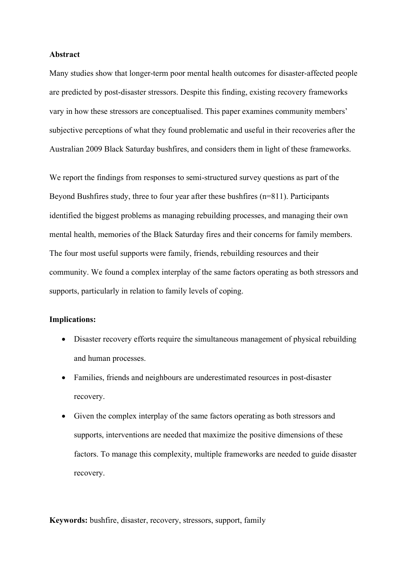## **Abstract**

Many studies show that longer-term poor mental health outcomes for disaster-affected people are predicted by post-disaster stressors. Despite this finding, existing recovery frameworks vary in how these stressors are conceptualised. This paper examines community members' subjective perceptions of what they found problematic and useful in their recoveries after the Australian 2009 Black Saturday bushfires, and considers them in light of these frameworks.

We report the findings from responses to semi-structured survey questions as part of the Beyond Bushfires study, three to four year after these bushfires (n=811). Participants identified the biggest problems as managing rebuilding processes, and managing their own mental health, memories of the Black Saturday fires and their concerns for family members. The four most useful supports were family, friends, rebuilding resources and their community. We found a complex interplay of the same factors operating as both stressors and supports, particularly in relation to family levels of coping.

## **Implications:**

- Disaster recovery efforts require the simultaneous management of physical rebuilding and human processes.
- Families, friends and neighbours are underestimated resources in post-disaster recovery.
- Given the complex interplay of the same factors operating as both stressors and supports, interventions are needed that maximize the positive dimensions of these factors. To manage this complexity, multiple frameworks are needed to guide disaster recovery.

**Keywords:** bushfire, disaster, recovery, stressors, support, family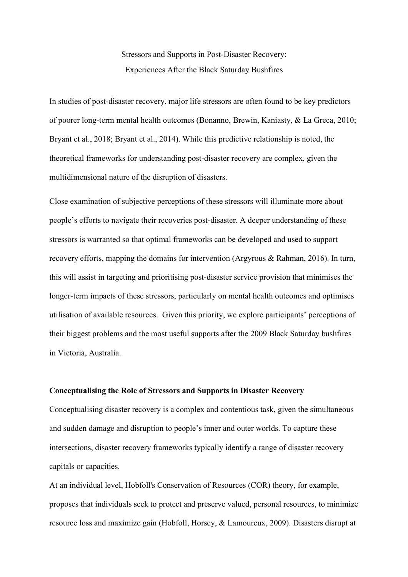Stressors and Supports in Post-Disaster Recovery: Experiences After the Black Saturday Bushfires

In studies of post-disaster recovery, major life stressors are often found to be key predictors of poorer long-term mental health outcomes (Bonanno, Brewin, Kaniasty, & La Greca, 2010; Bryant et al., 2018; Bryant et al., 2014). While this predictive relationship is noted, the theoretical frameworks for understanding post-disaster recovery are complex, given the multidimensional nature of the disruption of disasters.

Close examination of subjective perceptions of these stressors will illuminate more about people's efforts to navigate their recoveries post-disaster. A deeper understanding of these stressors is warranted so that optimal frameworks can be developed and used to support recovery efforts, mapping the domains for intervention (Argyrous & Rahman, 2016). In turn, this will assist in targeting and prioritising post-disaster service provision that minimises the longer-term impacts of these stressors, particularly on mental health outcomes and optimises utilisation of available resources. Given this priority, we explore participants' perceptions of their biggest problems and the most useful supports after the 2009 Black Saturday bushfires in Victoria, Australia.

### **Conceptualising the Role of Stressors and Supports in Disaster Recovery**

Conceptualising disaster recovery is a complex and contentious task, given the simultaneous and sudden damage and disruption to people's inner and outer worlds. To capture these intersections, disaster recovery frameworks typically identify a range of disaster recovery capitals or capacities.

At an individual level, Hobfoll's Conservation of Resources (COR) theory, for example, proposes that individuals seek to protect and preserve valued, personal resources, to minimize resource loss and maximize gain (Hobfoll, Horsey, & Lamoureux, 2009). Disasters disrupt at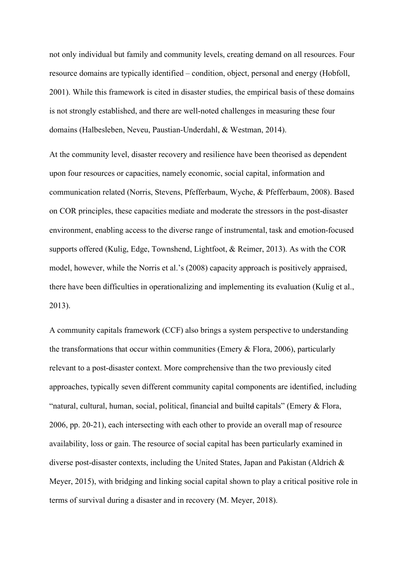not only individual but family and community levels, creating demand on all resources. Four resource domains are typically identified – condition, object, personal and energy (Hobfoll, 2001). While this framework is cited in disaster studies, the empirical basis of these domains is not strongly established, and there are well-noted challenges in measuring these four domains (Halbesleben, Neveu, Paustian-Underdahl, & Westman, 2014).

At the community level, disaster recovery and resilience have been theorised as dependent upon four resources or capacities, namely economic, social capital, information and communication related (Norris, Stevens, Pfefferbaum, Wyche, & Pfefferbaum, 2008). Based on COR principles, these capacities mediate and moderate the stressors in the post-disaster environment, enabling access to the diverse range of instrumental, task and emotion-focused supports offered (Kulig, Edge, Townshend, Lightfoot, & Reimer, 2013). As with the COR model, however, while the Norris et al.'s (2008) capacity approach is positively appraised, there have been difficulties in operationalizing and implementing its evaluation (Kulig et al., 2013).

A community capitals framework (CCF) also brings a system perspective to understanding the transformations that occur within communities (Emery  $&$  Flora, 2006), particularly relevant to a post-disaster context. More comprehensive than the two previously cited approaches, typically seven different community capital components are identified, including "natural, cultural, human, social, political, financial and builtd capitals" (Emery & Flora, 2006, pp. 20-21), each intersecting with each other to provide an overall map of resource availability, loss or gain. The resource of social capital has been particularly examined in diverse post-disaster contexts, including the United States, Japan and Pakistan (Aldrich & Meyer, 2015), with bridging and linking social capital shown to play a critical positive role in terms of survival during a disaster and in recovery (M. Meyer, 2018).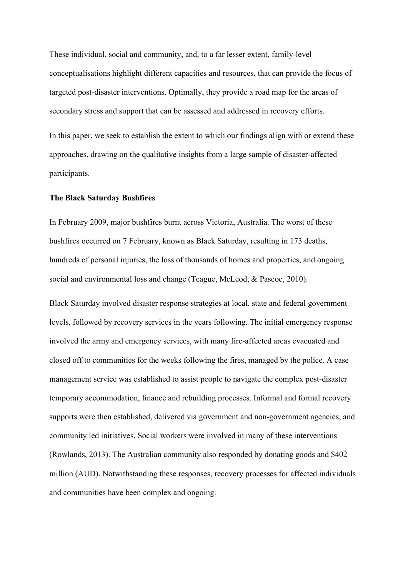These individual, social and community, and, to a far lesser extent, family-level conceptualisations highlight different capacities and resources, that can provide the focus of targeted post-disaster interventions. Optimally, they provide a road map for the areas of secondary stress and support that can be assessed and addressed in recovery efforts.

In this paper, we seek to establish the extent to which our findings align with or extend these approaches, drawing on the qualitative insights from a large sample of disaster-affected participants.

#### **The Black Saturday Bushfires**

In February 2009, major bushfires burnt across Victoria, Australia. The worst of these bushfires occurred on 7 February, known as Black Saturday, resulting in 173 deaths, hundreds of personal injuries, the loss of thousands of homes and properties, and ongoing social and environmental loss and change (Teague, McLeod, & Pascoe, 2010).

Black Saturday involved disaster response strategies at local, state and federal government levels, followed by recovery services in the years following. The initial emergency response involved the army and emergency services, with many fire-affected areas evacuated and closed off to communities for the weeks following the fires, managed by the police. A case management service was established to assist people to navigate the complex post-disaster temporary accommodation, finance and rebuilding processes. Informal and formal recovery supports were then established, delivered via government and non-government agencies, and community led initiatives. Social workers were involved in many of these interventions (Rowlands, 2013). The Australian community also responded by donating goods and \$402 million (AUD). Notwithstanding these responses, recovery processes for affected individuals and communities have been complex and ongoing.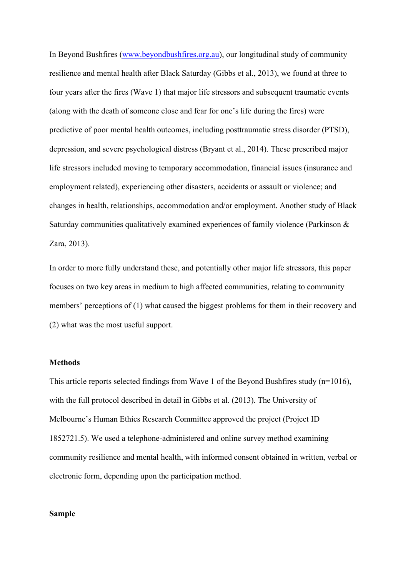In Beyond Bushfires [\(www.beyondbushfires.org.au\)](about:blank), our longitudinal study of community resilience and mental health after Black Saturday (Gibbs et al., 2013), we found at three to four years after the fires (Wave 1) that major life stressors and subsequent traumatic events (along with the death of someone close and fear for one's life during the fires) were predictive of poor mental health outcomes, including posttraumatic stress disorder (PTSD), depression, and severe psychological distress (Bryant et al., 2014). These prescribed major life stressors included moving to temporary accommodation, financial issues (insurance and employment related), experiencing other disasters, accidents or assault or violence; and changes in health, relationships, accommodation and/or employment. Another study of Black Saturday communities qualitatively examined experiences of family violence (Parkinson & Zara, 2013).

In order to more fully understand these, and potentially other major life stressors, this paper focuses on two key areas in medium to high affected communities, relating to community members' perceptions of (1) what caused the biggest problems for them in their recovery and (2) what was the most useful support.

## **Methods**

This article reports selected findings from Wave 1 of the Beyond Bushfires study (n=1016), with the full protocol described in detail in Gibbs et al. (2013). The University of Melbourne's Human Ethics Research Committee approved the project (Project ID 1852721.5). We used a telephone-administered and online survey method examining community resilience and mental health, with informed consent obtained in written, verbal or electronic form, depending upon the participation method.

## **Sample**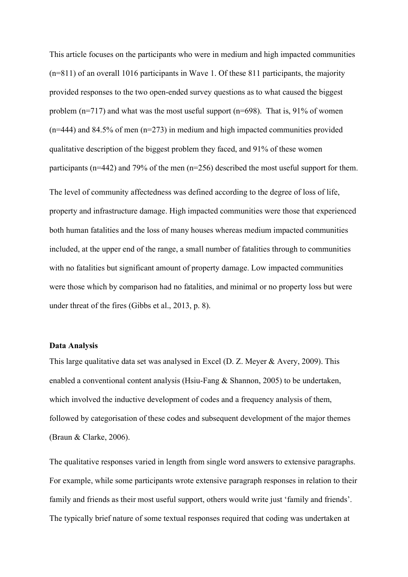This article focuses on the participants who were in medium and high impacted communities (n=811) of an overall 1016 participants in Wave 1. Of these 811 participants, the majority provided responses to the two open-ended survey questions as to what caused the biggest problem  $(n=717)$  and what was the most useful support  $(n=698)$ . That is, 91% of women  $(n=444)$  and 84.5% of men  $(n=273)$  in medium and high impacted communities provided qualitative description of the biggest problem they faced, and 91% of these women participants (n=442) and 79% of the men (n=256) described the most useful support for them. The level of community affectedness was defined according to the degree of loss of life, property and infrastructure damage. High impacted communities were those that experienced both human fatalities and the loss of many houses whereas medium impacted communities included, at the upper end of the range, a small number of fatalities through to communities with no fatalities but significant amount of property damage. Low impacted communities were those which by comparison had no fatalities, and minimal or no property loss but were under threat of the fires (Gibbs et al., 2013, p. 8).

## **Data Analysis**

This large qualitative data set was analysed in Excel (D. Z. Meyer & Avery, 2009). This enabled a conventional content analysis (Hsiu-Fang & Shannon, 2005) to be undertaken, which involved the inductive development of codes and a frequency analysis of them, followed by categorisation of these codes and subsequent development of the major themes (Braun & Clarke, 2006).

The qualitative responses varied in length from single word answers to extensive paragraphs. For example, while some participants wrote extensive paragraph responses in relation to their family and friends as their most useful support, others would write just 'family and friends'. The typically brief nature of some textual responses required that coding was undertaken at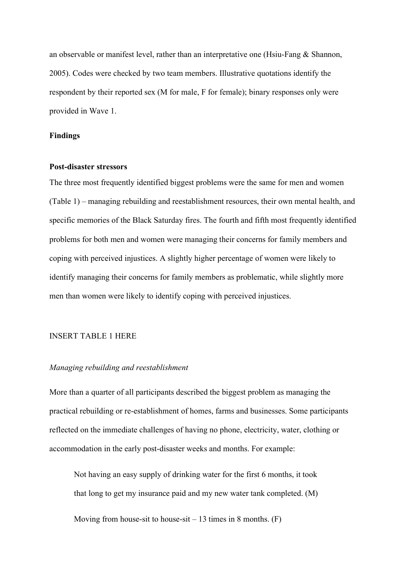an observable or manifest level, rather than an interpretative one (Hsiu-Fang & Shannon, 2005). Codes were checked by two team members. Illustrative quotations identify the respondent by their reported sex (M for male, F for female); binary responses only were provided in Wave 1.

## **Findings**

## **Post-disaster stressors**

The three most frequently identified biggest problems were the same for men and women (Table 1) – managing rebuilding and reestablishment resources, their own mental health, and specific memories of the Black Saturday fires. The fourth and fifth most frequently identified problems for both men and women were managing their concerns for family members and coping with perceived injustices. A slightly higher percentage of women were likely to identify managing their concerns for family members as problematic, while slightly more men than women were likely to identify coping with perceived injustices.

## INSERT TABLE 1 HERE

## *Managing rebuilding and reestablishment*

More than a quarter of all participants described the biggest problem as managing the practical rebuilding or re-establishment of homes, farms and businesses. Some participants reflected on the immediate challenges of having no phone, electricity, water, clothing or accommodation in the early post-disaster weeks and months. For example:

Not having an easy supply of drinking water for the first 6 months, it took that long to get my insurance paid and my new water tank completed. (M)

Moving from house-sit to house-sit  $-13$  times in 8 months. (F)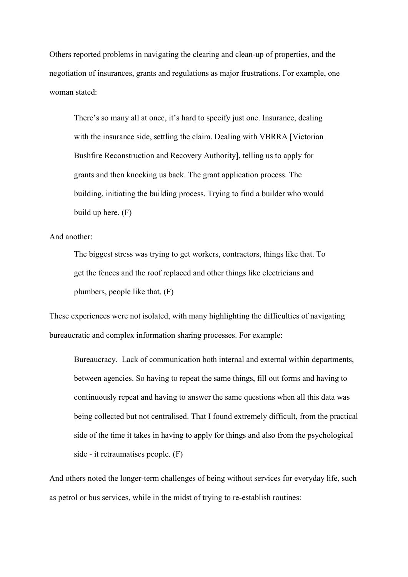Others reported problems in navigating the clearing and clean-up of properties, and the negotiation of insurances, grants and regulations as major frustrations. For example, one woman stated:

There's so many all at once, it's hard to specify just one. Insurance, dealing with the insurance side, settling the claim. Dealing with VBRRA [Victorian] Bushfire Reconstruction and Recovery Authority], telling us to apply for grants and then knocking us back. The grant application process. The building, initiating the building process. Trying to find a builder who would build up here. (F)

# And another:

The biggest stress was trying to get workers, contractors, things like that. To get the fences and the roof replaced and other things like electricians and plumbers, people like that. (F)

These experiences were not isolated, with many highlighting the difficulties of navigating bureaucratic and complex information sharing processes. For example:

Bureaucracy. Lack of communication both internal and external within departments, between agencies. So having to repeat the same things, fill out forms and having to continuously repeat and having to answer the same questions when all this data was being collected but not centralised. That I found extremely difficult, from the practical side of the time it takes in having to apply for things and also from the psychological side - it retraumatises people. (F)

And others noted the longer-term challenges of being without services for everyday life, such as petrol or bus services, while in the midst of trying to re-establish routines: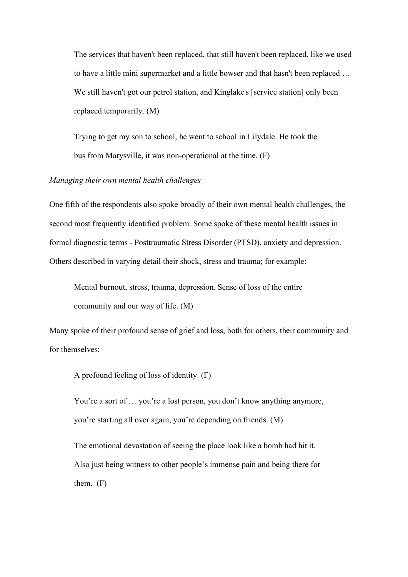The services that haven't been replaced, that still haven't been replaced, like we used to have a little mini supermarket and a little bowser and that hasn't been replaced … We still haven't got our petrol station, and Kinglake's [service station] only been replaced temporarily. (M)

Trying to get my son to school, he went to school in Lilydale. He took the bus from Marysville, it was non-operational at the time. (F)

## *Managing their own mental health challenges*

One fifth of the respondents also spoke broadly of their own mental health challenges, the second most frequently identified problem. Some spoke of these mental health issues in formal diagnostic terms - Posttraumatic Stress Disorder (PTSD), anxiety and depression. Others described in varying detail their shock, stress and trauma; for example:

Mental burnout, stress, trauma, depression. Sense of loss of the entire community and our way of life. (M)

Many spoke of their profound sense of grief and loss, both for others, their community and for themselves:

A profound feeling of loss of identity. (F)

You're a sort of ... you're a lost person, you don't know anything anymore, you're starting all over again, you're depending on friends. (M)

The emotional devastation of seeing the place look like a bomb had hit it. Also just being witness to other people's immense pain and being there for them. (F)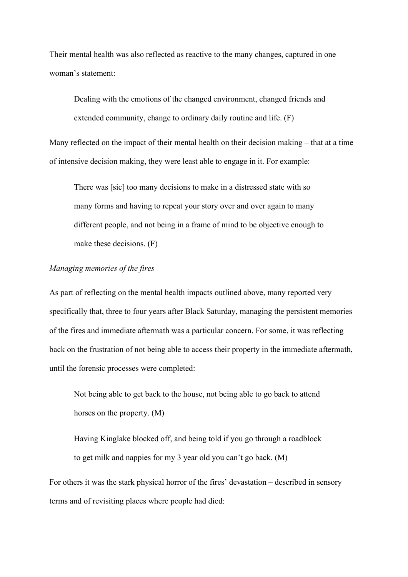Their mental health was also reflected as reactive to the many changes, captured in one woman's statement:

Dealing with the emotions of the changed environment, changed friends and extended community, change to ordinary daily routine and life. (F)

Many reflected on the impact of their mental health on their decision making – that at a time of intensive decision making, they were least able to engage in it. For example:

There was [sic] too many decisions to make in a distressed state with so many forms and having to repeat your story over and over again to many different people, and not being in a frame of mind to be objective enough to make these decisions. (F)

# *Managing memories of the fires*

As part of reflecting on the mental health impacts outlined above, many reported very specifically that, three to four years after Black Saturday, managing the persistent memories of the fires and immediate aftermath was a particular concern. For some, it was reflecting back on the frustration of not being able to access their property in the immediate aftermath, until the forensic processes were completed:

Not being able to get back to the house, not being able to go back to attend horses on the property. (M)

Having Kinglake blocked off, and being told if you go through a roadblock to get milk and nappies for my 3 year old you can't go back. (M)

For others it was the stark physical horror of the fires' devastation – described in sensory terms and of revisiting places where people had died: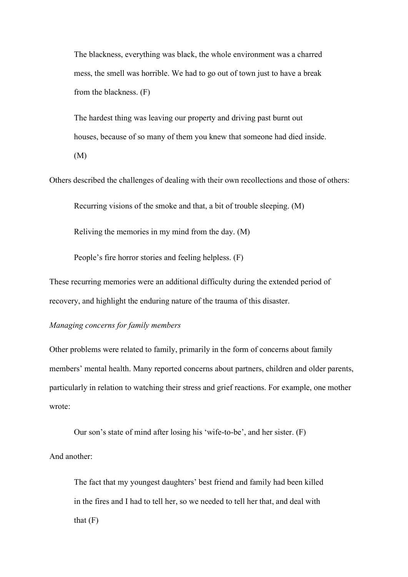The blackness, everything was black, the whole environment was a charred mess, the smell was horrible. We had to go out of town just to have a break from the blackness. (F)

The hardest thing was leaving our property and driving past burnt out houses, because of so many of them you knew that someone had died inside. (M)

Others described the challenges of dealing with their own recollections and those of others:

Recurring visions of the smoke and that, a bit of trouble sleeping. (M)

Reliving the memories in my mind from the day. (M)

People's fire horror stories and feeling helpless. (F)

These recurring memories were an additional difficulty during the extended period of recovery, and highlight the enduring nature of the trauma of this disaster.

*Managing concerns for family members*

And another:

Other problems were related to family, primarily in the form of concerns about family members' mental health. Many reported concerns about partners, children and older parents, particularly in relation to watching their stress and grief reactions. For example, one mother wrote:

Our son's state of mind after losing his 'wife-to-be', and her sister. (F)

The fact that my youngest daughters' best friend and family had been killed in the fires and I had to tell her, so we needed to tell her that, and deal with that  $(F)$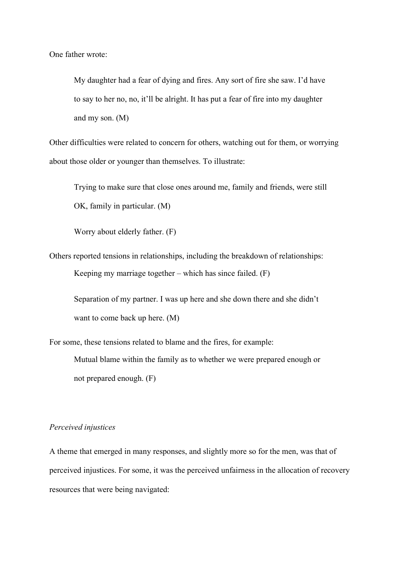One father wrote:

My daughter had a fear of dying and fires. Any sort of fire she saw. I'd have to say to her no, no, it'll be alright. It has put a fear of fire into my daughter and my son. (M)

Other difficulties were related to concern for others, watching out for them, or worrying about those older or younger than themselves. To illustrate:

Trying to make sure that close ones around me, family and friends, were still OK, family in particular. (M)

Worry about elderly father. (F)

Others reported tensions in relationships, including the breakdown of relationships: Keeping my marriage together – which has since failed. (F)

Separation of my partner. I was up here and she down there and she didn't want to come back up here. (M)

For some, these tensions related to blame and the fires, for example: Mutual blame within the family as to whether we were prepared enough or not prepared enough. (F)

## *Perceived injustices*

A theme that emerged in many responses, and slightly more so for the men, was that of perceived injustices. For some, it was the perceived unfairness in the allocation of recovery resources that were being navigated: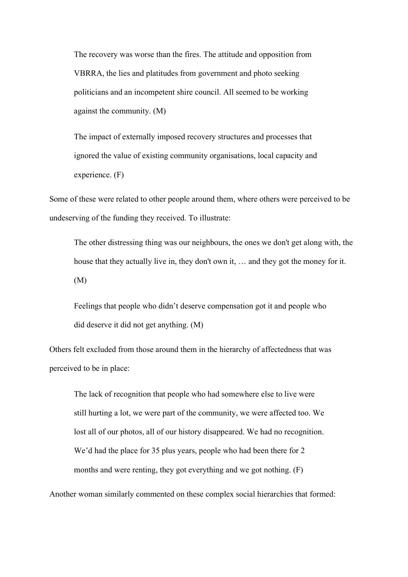The recovery was worse than the fires. The attitude and opposition from VBRRA, the lies and platitudes from government and photo seeking politicians and an incompetent shire council. All seemed to be working against the community. (M)

The impact of externally imposed recovery structures and processes that ignored the value of existing community organisations, local capacity and experience. (F)

Some of these were related to other people around them, where others were perceived to be undeserving of the funding they received. To illustrate:

The other distressing thing was our neighbours, the ones we don't get along with, the house that they actually live in, they don't own it, … and they got the money for it. (M)

Feelings that people who didn't deserve compensation got it and people who did deserve it did not get anything. (M)

Others felt excluded from those around them in the hierarchy of affectedness that was perceived to be in place:

The lack of recognition that people who had somewhere else to live were still hurting a lot, we were part of the community, we were affected too. We lost all of our photos, all of our history disappeared. We had no recognition. We'd had the place for 35 plus years, people who had been there for 2 months and were renting, they got everything and we got nothing. (F)

Another woman similarly commented on these complex social hierarchies that formed: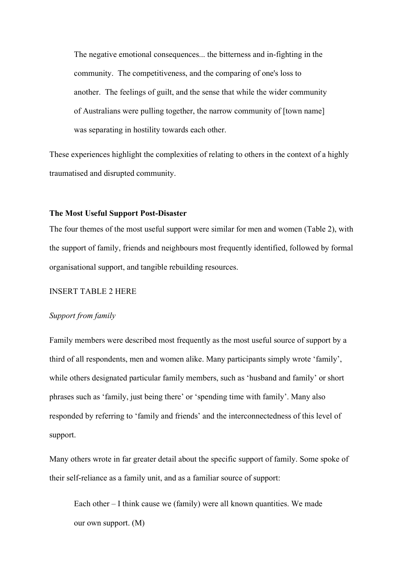The negative emotional consequences... the bitterness and in-fighting in the community. The competitiveness, and the comparing of one's loss to another. The feelings of guilt, and the sense that while the wider community of Australians were pulling together, the narrow community of [town name] was separating in hostility towards each other.

These experiences highlight the complexities of relating to others in the context of a highly traumatised and disrupted community.

## **The Most Useful Support Post-Disaster**

The four themes of the most useful support were similar for men and women (Table 2), with the support of family, friends and neighbours most frequently identified, followed by formal organisational support, and tangible rebuilding resources.

# INSERT TABLE 2 HERE

## *Support from family*

Family members were described most frequently as the most useful source of support by a third of all respondents, men and women alike. Many participants simply wrote 'family', while others designated particular family members, such as 'husband and family' or short phrases such as 'family, just being there' or 'spending time with family'. Many also responded by referring to 'family and friends' and the interconnectedness of this level of support.

Many others wrote in far greater detail about the specific support of family. Some spoke of their self-reliance as a family unit, and as a familiar source of support:

Each other – I think cause we (family) were all known quantities. We made our own support. (M)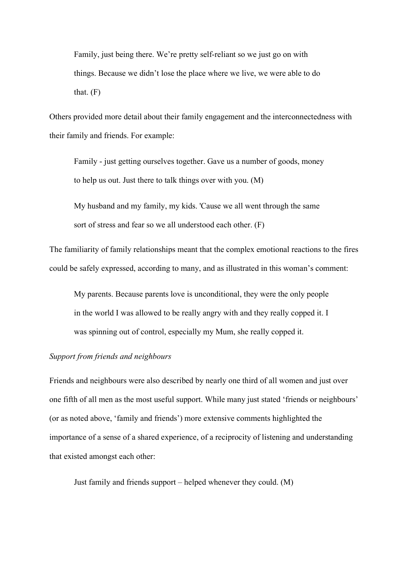Family, just being there. We're pretty self-reliant so we just go on with things. Because we didn't lose the place where we live, we were able to do that.  $(F)$ 

Others provided more detail about their family engagement and the interconnectedness with their family and friends. For example:

Family - just getting ourselves together. Gave us a number of goods, money to help us out. Just there to talk things over with you. (M)

My husband and my family, my kids. 'Cause we all went through the same sort of stress and fear so we all understood each other. (F)

The familiarity of family relationships meant that the complex emotional reactions to the fires could be safely expressed, according to many, and as illustrated in this woman's comment:

My parents. Because parents love is unconditional, they were the only people in the world I was allowed to be really angry with and they really copped it. I was spinning out of control, especially my Mum, she really copped it.

# *Support from friends and neighbours*

Friends and neighbours were also described by nearly one third of all women and just over one fifth of all men as the most useful support. While many just stated 'friends or neighbours' (or as noted above, 'family and friends') more extensive comments highlighted the importance of a sense of a shared experience, of a reciprocity of listening and understanding that existed amongst each other:

Just family and friends support – helped whenever they could. (M)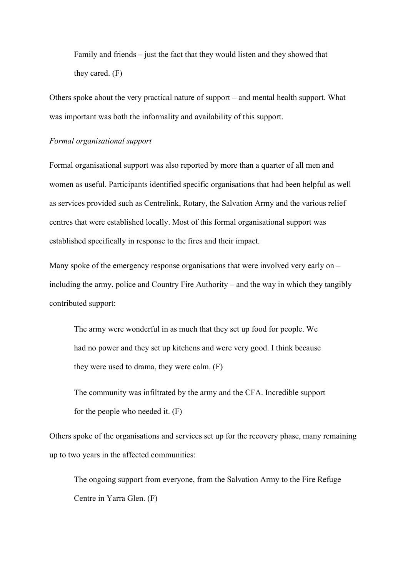Family and friends – just the fact that they would listen and they showed that they cared. (F)

Others spoke about the very practical nature of support – and mental health support. What was important was both the informality and availability of this support.

# *Formal organisational support*

Formal organisational support was also reported by more than a quarter of all men and women as useful. Participants identified specific organisations that had been helpful as well as services provided such as Centrelink, Rotary, the Salvation Army and the various relief centres that were established locally. Most of this formal organisational support was established specifically in response to the fires and their impact.

Many spoke of the emergency response organisations that were involved very early on – including the army, police and Country Fire Authority – and the way in which they tangibly contributed support:

The army were wonderful in as much that they set up food for people. We had no power and they set up kitchens and were very good. I think because they were used to drama, they were calm. (F)

The community was infiltrated by the army and the CFA. Incredible support for the people who needed it. (F)

Others spoke of the organisations and services set up for the recovery phase, many remaining up to two years in the affected communities:

The ongoing support from everyone, from the Salvation Army to the Fire Refuge Centre in Yarra Glen. (F)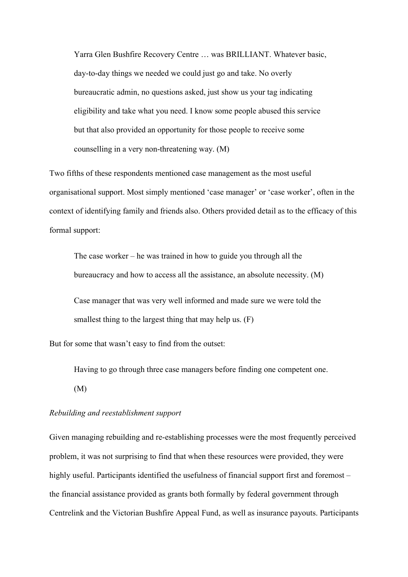Yarra Glen Bushfire Recovery Centre … was BRILLIANT. Whatever basic, day-to-day things we needed we could just go and take. No overly bureaucratic admin, no questions asked, just show us your tag indicating eligibility and take what you need. I know some people abused this service but that also provided an opportunity for those people to receive some counselling in a very non-threatening way. (M)

Two fifths of these respondents mentioned case management as the most useful organisational support. Most simply mentioned 'case manager' or 'case worker', often in the context of identifying family and friends also. Others provided detail as to the efficacy of this formal support:

The case worker – he was trained in how to guide you through all the bureaucracy and how to access all the assistance, an absolute necessity. (M) Case manager that was very well informed and made sure we were told the smallest thing to the largest thing that may help us. (F)

But for some that wasn't easy to find from the outset:

Having to go through three case managers before finding one competent one. (M)

## *Rebuilding and reestablishment support*

Given managing rebuilding and re-establishing processes were the most frequently perceived problem, it was not surprising to find that when these resources were provided, they were highly useful. Participants identified the usefulness of financial support first and foremost – the financial assistance provided as grants both formally by federal government through Centrelink and the Victorian Bushfire Appeal Fund, as well as insurance payouts. Participants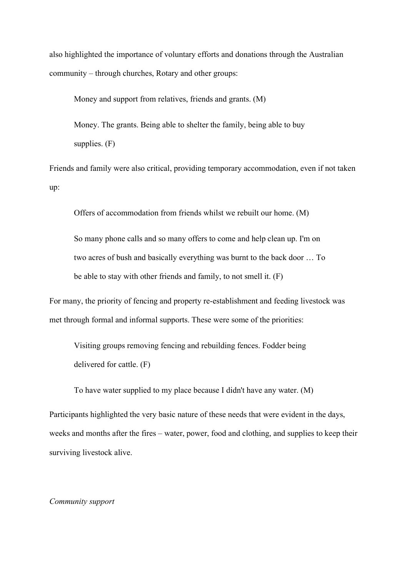also highlighted the importance of voluntary efforts and donations through the Australian community – through churches, Rotary and other groups:

Money and support from relatives, friends and grants. (M)

Money. The grants. Being able to shelter the family, being able to buy supplies. (F)

Friends and family were also critical, providing temporary accommodation, even if not taken up:

Offers of accommodation from friends whilst we rebuilt our home. (M)

So many phone calls and so many offers to come and help clean up. I'm on two acres of bush and basically everything was burnt to the back door … To be able to stay with other friends and family, to not smell it. (F)

For many, the priority of fencing and property re-establishment and feeding livestock was met through formal and informal supports. These were some of the priorities:

Visiting groups removing fencing and rebuilding fences. Fodder being delivered for cattle. (F)

To have water supplied to my place because I didn't have any water. (M)

Participants highlighted the very basic nature of these needs that were evident in the days, weeks and months after the fires – water, power, food and clothing, and supplies to keep their surviving livestock alive.

## *Community support*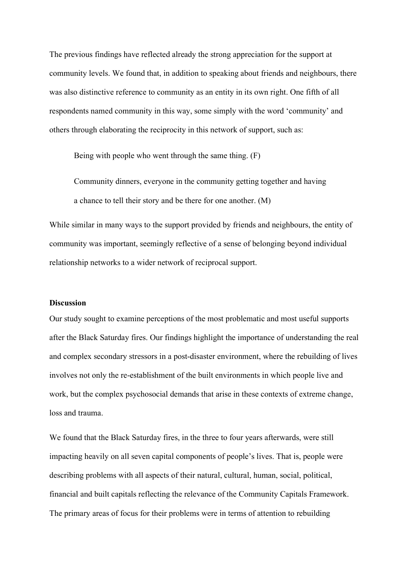The previous findings have reflected already the strong appreciation for the support at community levels. We found that, in addition to speaking about friends and neighbours, there was also distinctive reference to community as an entity in its own right. One fifth of all respondents named community in this way, some simply with the word 'community' and others through elaborating the reciprocity in this network of support, such as:

Being with people who went through the same thing. (F)

Community dinners, everyone in the community getting together and having a chance to tell their story and be there for one another. (M)

While similar in many ways to the support provided by friends and neighbours, the entity of community was important, seemingly reflective of a sense of belonging beyond individual relationship networks to a wider network of reciprocal support.

#### **Discussion**

Our study sought to examine perceptions of the most problematic and most useful supports after the Black Saturday fires. Our findings highlight the importance of understanding the real and complex secondary stressors in a post-disaster environment, where the rebuilding of lives involves not only the re-establishment of the built environments in which people live and work, but the complex psychosocial demands that arise in these contexts of extreme change, loss and trauma.

We found that the Black Saturday fires, in the three to four years afterwards, were still impacting heavily on all seven capital components of people's lives. That is, people were describing problems with all aspects of their natural, cultural, human, social, political, financial and built capitals reflecting the relevance of the Community Capitals Framework. The primary areas of focus for their problems were in terms of attention to rebuilding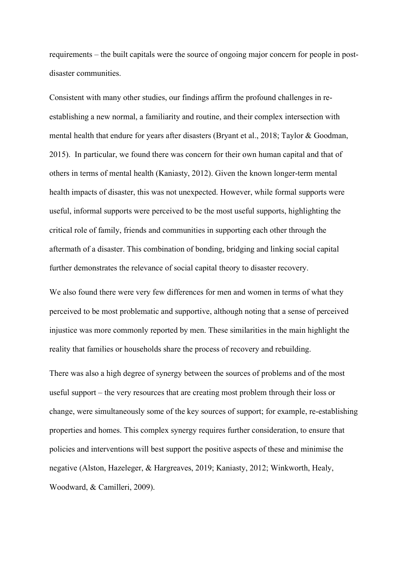requirements – the built capitals were the source of ongoing major concern for people in postdisaster communities.

Consistent with many other studies, our findings affirm the profound challenges in reestablishing a new normal, a familiarity and routine, and their complex intersection with mental health that endure for years after disasters (Bryant et al., 2018; Taylor & Goodman, 2015). In particular, we found there was concern for their own human capital and that of others in terms of mental health (Kaniasty, 2012). Given the known longer-term mental health impacts of disaster, this was not unexpected. However, while formal supports were useful, informal supports were perceived to be the most useful supports, highlighting the critical role of family, friends and communities in supporting each other through the aftermath of a disaster. This combination of bonding, bridging and linking social capital further demonstrates the relevance of social capital theory to disaster recovery.

We also found there were very few differences for men and women in terms of what they perceived to be most problematic and supportive, although noting that a sense of perceived injustice was more commonly reported by men. These similarities in the main highlight the reality that families or households share the process of recovery and rebuilding.

There was also a high degree of synergy between the sources of problems and of the most useful support – the very resources that are creating most problem through their loss or change, were simultaneously some of the key sources of support; for example, re-establishing properties and homes. This complex synergy requires further consideration, to ensure that policies and interventions will best support the positive aspects of these and minimise the negative (Alston, Hazeleger, & Hargreaves, 2019; Kaniasty, 2012; Winkworth, Healy, Woodward, & Camilleri, 2009).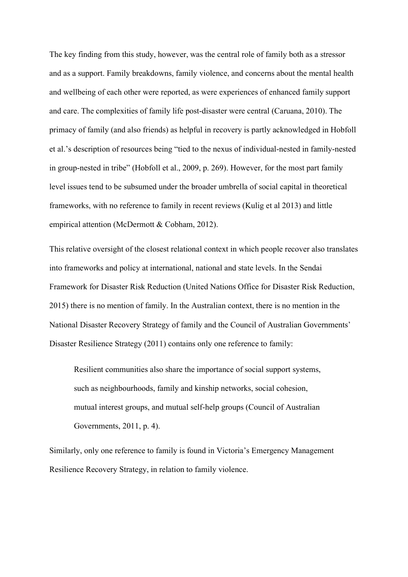The key finding from this study, however, was the central role of family both as a stressor and as a support. Family breakdowns, family violence, and concerns about the mental health and wellbeing of each other were reported, as were experiences of enhanced family support and care. The complexities of family life post-disaster were central (Caruana, 2010). The primacy of family (and also friends) as helpful in recovery is partly acknowledged in Hobfoll et al.'s description of resources being "tied to the nexus of individual-nested in family-nested in group-nested in tribe" (Hobfoll et al., 2009, p. 269). However, for the most part family level issues tend to be subsumed under the broader umbrella of social capital in theoretical frameworks, with no reference to family in recent reviews (Kulig et al 2013) and little empirical attention (McDermott & Cobham, 2012).

This relative oversight of the closest relational context in which people recover also translates into frameworks and policy at international, national and state levels. In the Sendai Framework for Disaster Risk Reduction (United Nations Office for Disaster Risk Reduction, 2015) there is no mention of family. In the Australian context, there is no mention in the National Disaster Recovery Strategy of family and the Council of Australian Governments' Disaster Resilience Strategy (2011) contains only one reference to family:

Resilient communities also share the importance of social support systems, such as neighbourhoods, family and kinship networks, social cohesion, mutual interest groups, and mutual self-help groups (Council of Australian Governments, 2011, p. 4).

Similarly, only one reference to family is found in Victoria's Emergency Management Resilience Recovery Strategy, in relation to family violence.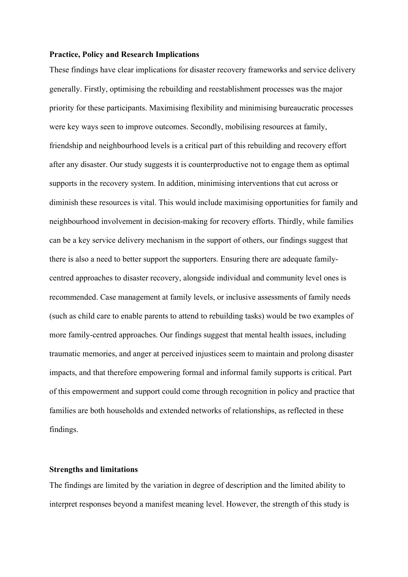#### **Practice, Policy and Research Implications**

These findings have clear implications for disaster recovery frameworks and service delivery generally. Firstly, optimising the rebuilding and reestablishment processes was the major priority for these participants. Maximising flexibility and minimising bureaucratic processes were key ways seen to improve outcomes. Secondly, mobilising resources at family, friendship and neighbourhood levels is a critical part of this rebuilding and recovery effort after any disaster. Our study suggests it is counterproductive not to engage them as optimal supports in the recovery system. In addition, minimising interventions that cut across or diminish these resources is vital. This would include maximising opportunities for family and neighbourhood involvement in decision-making for recovery efforts. Thirdly, while families can be a key service delivery mechanism in the support of others, our findings suggest that there is also a need to better support the supporters. Ensuring there are adequate familycentred approaches to disaster recovery, alongside individual and community level ones is recommended. Case management at family levels, or inclusive assessments of family needs (such as child care to enable parents to attend to rebuilding tasks) would be two examples of more family-centred approaches. Our findings suggest that mental health issues, including traumatic memories, and anger at perceived injustices seem to maintain and prolong disaster impacts, and that therefore empowering formal and informal family supports is critical. Part of this empowerment and support could come through recognition in policy and practice that families are both households and extended networks of relationships, as reflected in these findings.

## **Strengths and limitations**

The findings are limited by the variation in degree of description and the limited ability to interpret responses beyond a manifest meaning level. However, the strength of this study is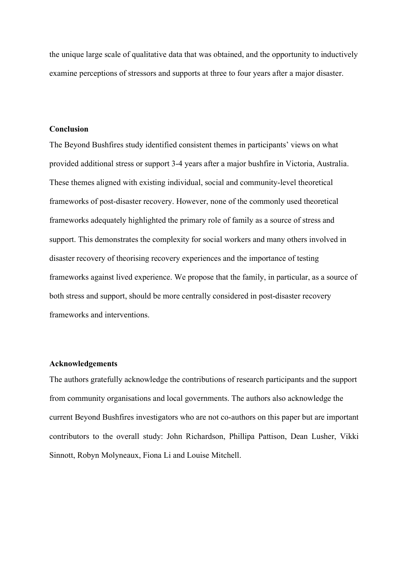the unique large scale of qualitative data that was obtained, and the opportunity to inductively examine perceptions of stressors and supports at three to four years after a major disaster.

## **Conclusion**

The Beyond Bushfires study identified consistent themes in participants' views on what provided additional stress or support 3-4 years after a major bushfire in Victoria, Australia. These themes aligned with existing individual, social and community-level theoretical frameworks of post-disaster recovery. However, none of the commonly used theoretical frameworks adequately highlighted the primary role of family as a source of stress and support. This demonstrates the complexity for social workers and many others involved in disaster recovery of theorising recovery experiences and the importance of testing frameworks against lived experience. We propose that the family, in particular, as a source of both stress and support, should be more centrally considered in post-disaster recovery frameworks and interventions.

# **Acknowledgements**

The authors gratefully acknowledge the contributions of research participants and the support from community organisations and local governments. The authors also acknowledge the current Beyond Bushfires investigators who are not co-authors on this paper but are important contributors to the overall study: John Richardson, Phillipa Pattison, Dean Lusher, Vikki Sinnott, Robyn Molyneaux, Fiona Li and Louise Mitchell.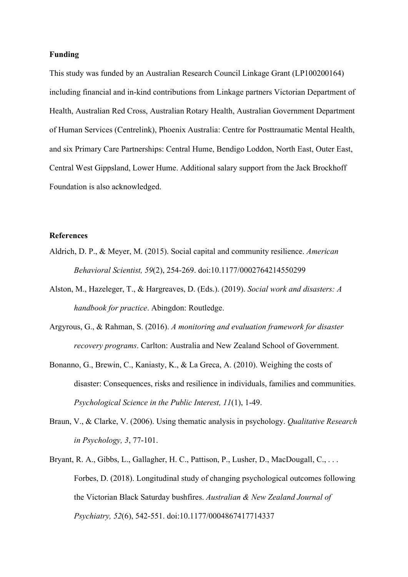## **Funding**

This study was funded by an Australian Research Council Linkage Grant (LP100200164) including financial and in-kind contributions from Linkage partners Victorian Department of Health, Australian Red Cross, Australian Rotary Health, Australian Government Department of Human Services (Centrelink), Phoenix Australia: Centre for Posttraumatic Mental Health, and six Primary Care Partnerships: Central Hume, Bendigo Loddon, North East, Outer East, Central West Gippsland, Lower Hume. Additional salary support from the Jack Brockhoff Foundation is also acknowledged.

#### **References**

- Aldrich, D. P., & Meyer, M. (2015). Social capital and community resilience. *American Behavioral Scientist, 59*(2), 254-269. doi:10.1177/0002764214550299
- Alston, M., Hazeleger, T., & Hargreaves, D. (Eds.). (2019). *Social work and disasters: A handbook for practice*. Abingdon: Routledge.
- Argyrous, G., & Rahman, S. (2016). *A monitoring and evaluation framework for disaster recovery programs*. Carlton: Australia and New Zealand School of Government.
- Bonanno, G., Brewin, C., Kaniasty, K., & La Greca, A. (2010). Weighing the costs of disaster: Consequences, risks and resilience in individuals, families and communities. *Psychological Science in the Public Interest, 11*(1), 1-49.
- Braun, V., & Clarke, V. (2006). Using thematic analysis in psychology. *Qualitative Research in Psychology, 3*, 77-101.
- Bryant, R. A., Gibbs, L., Gallagher, H. C., Pattison, P., Lusher, D., MacDougall, C., ... Forbes, D. (2018). Longitudinal study of changing psychological outcomes following the Victorian Black Saturday bushfires. *Australian & New Zealand Journal of Psychiatry, 52*(6), 542-551. doi:10.1177/0004867417714337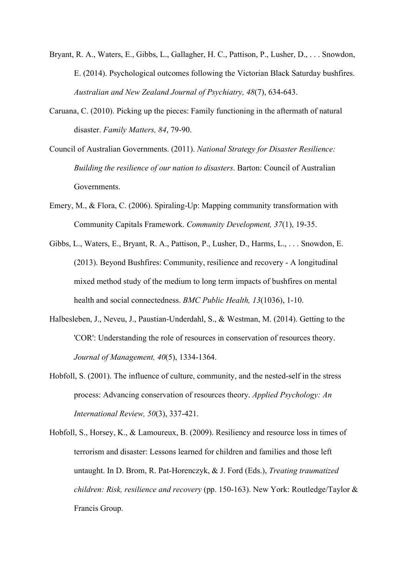- Bryant, R. A., Waters, E., Gibbs, L., Gallagher, H. C., Pattison, P., Lusher, D., . . . Snowdon, E. (2014). Psychological outcomes following the Victorian Black Saturday bushfires. *Australian and New Zealand Journal of Psychiatry, 48*(7), 634-643.
- Caruana, C. (2010). Picking up the pieces: Family functioning in the aftermath of natural disaster. *Family Matters, 84*, 79-90.
- Council of Australian Governments. (2011). *National Strategy for Disaster Resilience: Building the resilience of our nation to disasters*. Barton: Council of Australian Governments.
- Emery, M., & Flora, C. (2006). Spiraling-Up: Mapping community transformation with Community Capitals Framework. *Community Development, 37*(1), 19-35.
- Gibbs, L., Waters, E., Bryant, R. A., Pattison, P., Lusher, D., Harms, L., . . . Snowdon, E. (2013). Beyond Bushfires: Community, resilience and recovery - A longitudinal mixed method study of the medium to long term impacts of bushfires on mental health and social connectedness. *BMC Public Health, 13*(1036), 1-10.
- Halbesleben, J., Neveu, J., Paustian-Underdahl, S., & Westman, M. (2014). Getting to the 'COR': Understanding the role of resources in conservation of resources theory. *Journal of Management, 40*(5), 1334-1364.
- Hobfoll, S. (2001). The influence of culture, community, and the nested-self in the stress process: Advancing conservation of resources theory. *Applied Psychology: An International Review, 50*(3), 337-421.
- Hobfoll, S., Horsey, K., & Lamoureux, B. (2009). Resiliency and resource loss in times of terrorism and disaster: Lessons learned for children and families and those left untaught. In D. Brom, R. Pat-Horenczyk, & J. Ford (Eds.), *Treating traumatized children: Risk, resilience and recovery* (pp. 150-163). New York: Routledge/Taylor & Francis Group.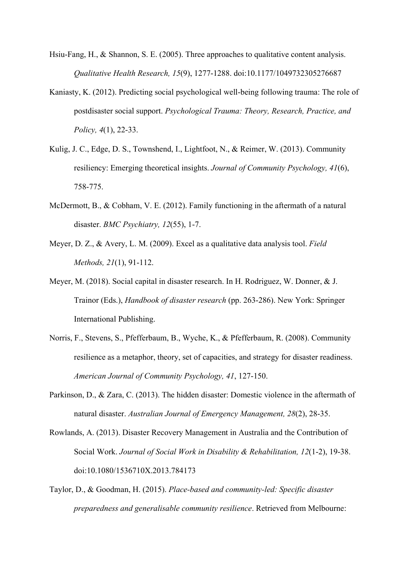- Hsiu-Fang, H., & Shannon, S. E. (2005). Three approaches to qualitative content analysis. *Qualitative Health Research, 15*(9), 1277-1288. doi:10.1177/1049732305276687
- Kaniasty, K. (2012). Predicting social psychological well-being following trauma: The role of postdisaster social support. *Psychological Trauma: Theory, Research, Practice, and Policy, 4*(1), 22-33.
- Kulig, J. C., Edge, D. S., Townshend, I., Lightfoot, N., & Reimer, W. (2013). Community resiliency: Emerging theoretical insights. *Journal of Community Psychology, 41*(6), 758-775.
- McDermott, B., & Cobham, V. E. (2012). Family functioning in the aftermath of a natural disaster. *BMC Psychiatry, 12*(55), 1-7.
- Meyer, D. Z., & Avery, L. M. (2009). Excel as a qualitative data analysis tool. *Field Methods, 21*(1), 91-112.
- Meyer, M. (2018). Social capital in disaster research. In H. Rodriguez, W. Donner, & J. Trainor (Eds.), *Handbook of disaster research* (pp. 263-286). New York: Springer International Publishing.
- Norris, F., Stevens, S., Pfefferbaum, B., Wyche, K., & Pfefferbaum, R. (2008). Community resilience as a metaphor, theory, set of capacities, and strategy for disaster readiness. *American Journal of Community Psychology, 41*, 127-150.
- Parkinson, D., & Zara, C. (2013). The hidden disaster: Domestic violence in the aftermath of natural disaster. *Australian Journal of Emergency Management, 28*(2), 28-35.
- Rowlands, A. (2013). Disaster Recovery Management in Australia and the Contribution of Social Work. *Journal of Social Work in Disability & Rehabilitation, 12*(1-2), 19-38. doi:10.1080/1536710X.2013.784173
- Taylor, D., & Goodman, H. (2015). *Place-based and community-led: Specific disaster preparedness and generalisable community resilience*. Retrieved from Melbourne: